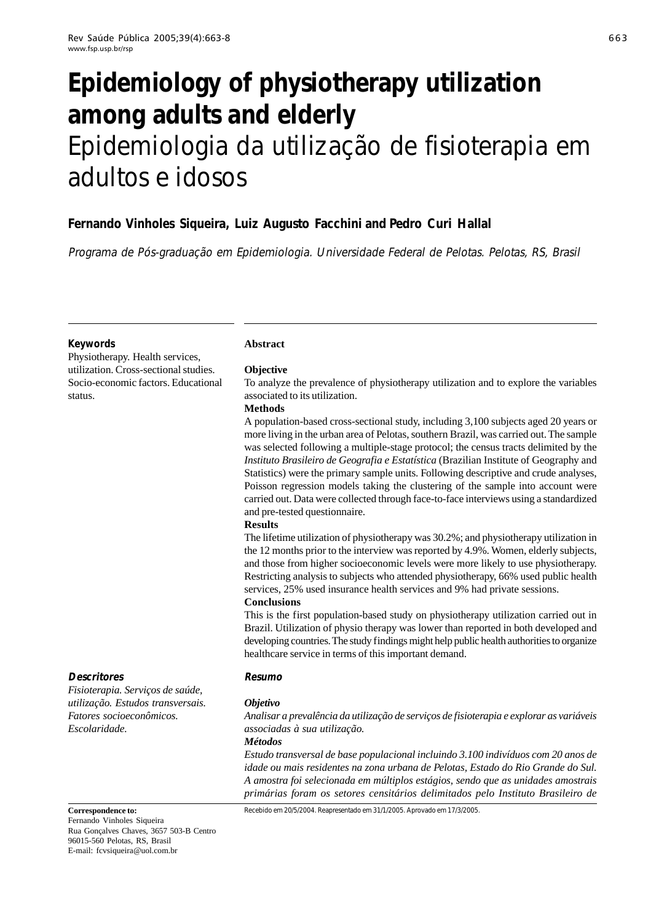# **Epidemiology of physiotherapy utilization among adults and elderly** Epidemiologia da utilização de fisioterapia em adultos e idosos

# **Fernando Vinholes Siqueira, Luiz Augusto Facchini and Pedro Curi Hallal**

Programa de Pós-graduação em Epidemiologia. Universidade Federal de Pelotas. Pelotas, RS, Brasil

### **Keywords**

Physiotherapy. Health services, utilization. Cross-sectional studies. Socio-economic factors. Educational status.

# **Abstract**

#### **Objective**

To analyze the prevalence of physiotherapy utilization and to explore the variables associated to its utilization.

#### **Methods**

A population-based cross-sectional study, including 3,100 subjects aged 20 years or more living in the urban area of Pelotas, southern Brazil, was carried out. The sample was selected following a multiple-stage protocol; the census tracts delimited by the *Instituto Brasileiro de Geografia e Estatística* (Brazilian Institute of Geography and Statistics) were the primary sample units. Following descriptive and crude analyses, Poisson regression models taking the clustering of the sample into account were carried out. Data were collected through face-to-face interviews using a standardized and pre-tested questionnaire.

#### **Results**

The lifetime utilization of physiotherapy was 30.2%; and physiotherapy utilization in the 12 months prior to the interview was reported by 4.9%. Women, elderly subjects, and those from higher socioeconomic levels were more likely to use physiotherapy. Restricting analysis to subjects who attended physiotherapy, 66% used public health services, 25% used insurance health services and 9% had private sessions.

#### **Conclusions**

This is the first population-based study on physiotherapy utilization carried out in Brazil. Utilization of physio therapy was lower than reported in both developed and developing countries. The study findings might help public health authorities to organize healthcare service in terms of this important demand.

# **Resumo**

# *Objetivo*

*Analisar a prevalência da utilização de serviços de fisioterapia e explorar as variáveis associadas à sua utilização.*

#### *Métodos*

*Estudo transversal de base populacional incluindo 3.100 indivíduos com 20 anos de idade ou mais residentes na zona urbana de Pelotas, Estado do Rio Grande do Sul. A amostra foi selecionada em múltiplos estágios, sendo que as unidades amostrais primárias foram os setores censitários delimitados pelo Instituto Brasileiro de*

Recebido em 20/5/2004. Reapresentado em 31/1/2005. Aprovado em 17/3/2005.

#### **Correspondence to:**

**Descritores**

*Escolaridade.*

Fernando Vinholes Siqueira Rua Gonçalves Chaves, 3657 503-B Centro 96015-560 Pelotas, RS, Brasil E-mail: fcvsiqueira@uol.com.br

*Fisioterapia. Serviços de saúde, utilização. Estudos transversais. Fatores socioeconômicos.*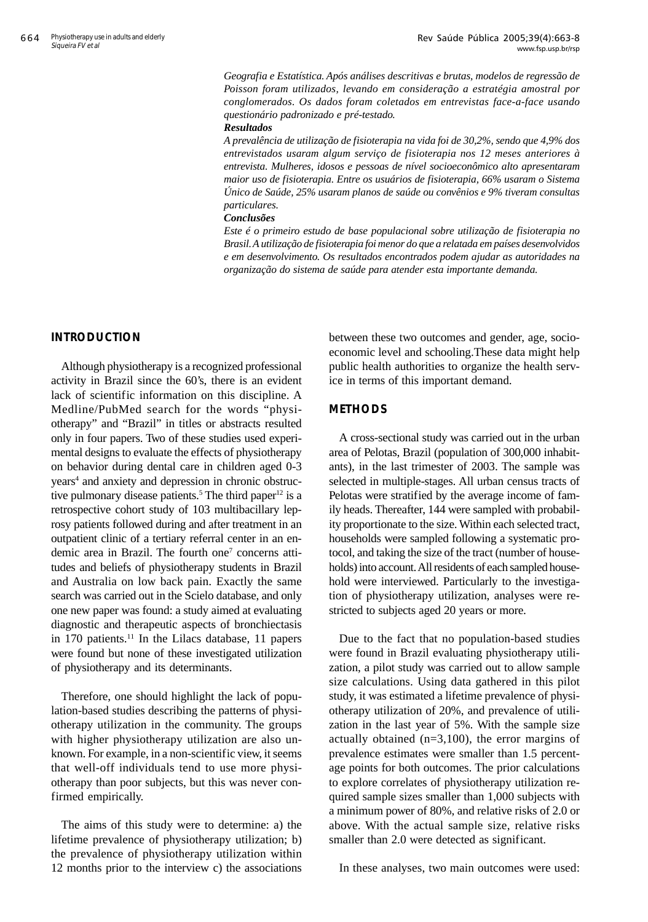*Geografia e Estatística. Após análises descritivas e brutas, modelos de regressão de Poisson foram utilizados, levando em consideração a estratégia amostral por conglomerados. Os dados foram coletados em entrevistas face-a-face usando questionário padronizado e pré-testado.*

#### *Resultados*

*A prevalência de utilização de fisioterapia na vida foi de 30,2%, sendo que 4,9% dos entrevistados usaram algum serviço de fisioterapia nos 12 meses anteriores à entrevista. Mulheres, idosos e pessoas de nível socioeconômico alto apresentaram maior uso de fisioterapia. Entre os usuários de fisioterapia, 66% usaram o Sistema Único de Saúde, 25% usaram planos de saúde ou convênios e 9% tiveram consultas particulares.*

#### *Conclusões*

*Este é o primeiro estudo de base populacional sobre utilização de fisioterapia no Brasil. A utilização de fisioterapia foi menor do que a relatada em países desenvolvidos e em desenvolvimento. Os resultados encontrados podem ajudar as autoridades na organização do sistema de saúde para atender esta importante demanda.*

# **INTRODUCTION**

Although physiotherapy is a recognized professional activity in Brazil since the 60's, there is an evident lack of scientific information on this discipline. A Medline/PubMed search for the words "physiotherapy" and "Brazil" in titles or abstracts resulted only in four papers. Two of these studies used experimental designs to evaluate the effects of physiotherapy on behavior during dental care in children aged 0-3 years<sup>4</sup> and anxiety and depression in chronic obstructive pulmonary disease patients.<sup>5</sup> The third paper<sup>12</sup> is a retrospective cohort study of 103 multibacillary leprosy patients followed during and after treatment in an outpatient clinic of a tertiary referral center in an endemic area in Brazil. The fourth one<sup>7</sup> concerns attitudes and beliefs of physiotherapy students in Brazil and Australia on low back pain. Exactly the same search was carried out in the Scielo database, and only one new paper was found: a study aimed at evaluating diagnostic and therapeutic aspects of bronchiectasis in 170 patients.<sup>11</sup> In the Lilacs database, 11 papers were found but none of these investigated utilization of physiotherapy and its determinants.

Therefore, one should highlight the lack of population-based studies describing the patterns of physiotherapy utilization in the community. The groups with higher physiotherapy utilization are also unknown. For example, in a non-scientific view, it seems that well-off individuals tend to use more physiotherapy than poor subjects, but this was never confirmed empirically.

The aims of this study were to determine: a) the lifetime prevalence of physiotherapy utilization; b) the prevalence of physiotherapy utilization within 12 months prior to the interview c) the associations between these two outcomes and gender, age, socioeconomic level and schooling.These data might help public health authorities to organize the health service in terms of this important demand.

# **METHODS**

A cross-sectional study was carried out in the urban area of Pelotas, Brazil (population of 300,000 inhabitants), in the last trimester of 2003. The sample was selected in multiple-stages. All urban census tracts of Pelotas were stratified by the average income of family heads. Thereafter, 144 were sampled with probability proportionate to the size. Within each selected tract, households were sampled following a systematic protocol, and taking the size of the tract (number of households) into account. All residents of each sampled household were interviewed. Particularly to the investigation of physiotherapy utilization, analyses were restricted to subjects aged 20 years or more.

Due to the fact that no population-based studies were found in Brazil evaluating physiotherapy utilization, a pilot study was carried out to allow sample size calculations. Using data gathered in this pilot study, it was estimated a lifetime prevalence of physiotherapy utilization of 20%, and prevalence of utilization in the last year of 5%. With the sample size actually obtained (n=3,100), the error margins of prevalence estimates were smaller than 1.5 percentage points for both outcomes. The prior calculations to explore correlates of physiotherapy utilization required sample sizes smaller than 1,000 subjects with a minimum power of 80%, and relative risks of 2.0 or above. With the actual sample size, relative risks smaller than 2.0 were detected as significant.

In these analyses, two main outcomes were used: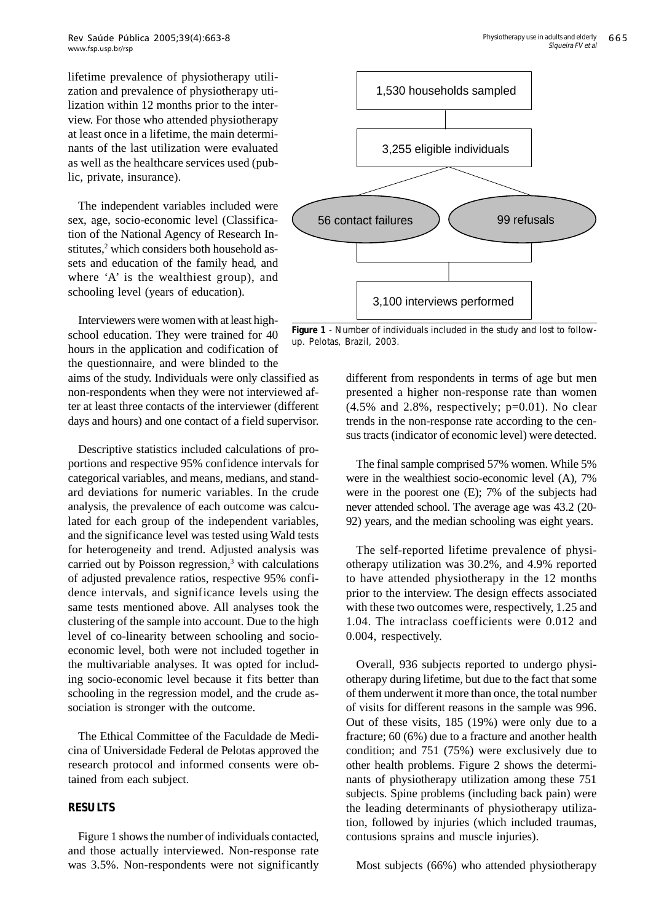lifetime prevalence of physiotherapy utilization and prevalence of physiotherapy utilization within 12 months prior to the interview. For those who attended physiotherapy at least once in a lifetime, the main determinants of the last utilization were evaluated as well as the healthcare services used (public, private, insurance).

The independent variables included were sex, age, socio-economic level (Classification of the National Agency of Research Institutes,<sup>2</sup> which considers both household assets and education of the family head, and where 'A' is the wealthiest group), and schooling level (years of education).

Interviewers were women with at least highschool education. They were trained for 40 hours in the application and codification of the questionnaire, and were blinded to the

aims of the study. Individuals were only classified as non-respondents when they were not interviewed after at least three contacts of the interviewer (different days and hours) and one contact of a field supervisor.

Descriptive statistics included calculations of proportions and respective 95% confidence intervals for categorical variables, and means, medians, and standard deviations for numeric variables. In the crude analysis, the prevalence of each outcome was calculated for each group of the independent variables, and the significance level was tested using Wald tests for heterogeneity and trend. Adjusted analysis was carried out by Poisson regression,<sup>3</sup> with calculations of adjusted prevalence ratios, respective 95% confidence intervals, and significance levels using the same tests mentioned above. All analyses took the clustering of the sample into account. Due to the high level of co-linearity between schooling and socioeconomic level, both were not included together in the multivariable analyses. It was opted for including socio-economic level because it fits better than schooling in the regression model, and the crude association is stronger with the outcome.

The Ethical Committee of the Faculdade de Medicina of Universidade Federal de Pelotas approved the research protocol and informed consents were obtained from each subject.

# **RESULTS**

Figure 1 shows the number of individuals contacted, and those actually interviewed. Non-response rate was 3.5%. Non-respondents were not significantly



**Figure 1** - Number of individuals included in the study and lost to followup. Pelotas, Brazil, 2003.

different from respondents in terms of age but men presented a higher non-response rate than women  $(4.5\%$  and  $2.8\%$ , respectively;  $p=0.01$ ). No clear trends in the non-response rate according to the census tracts (indicator of economic level) were detected.

The final sample comprised 57% women. While 5% were in the wealthiest socio-economic level (A), 7% were in the poorest one (E); 7% of the subjects had never attended school. The average age was 43.2 (20- 92) years, and the median schooling was eight years.

The self-reported lifetime prevalence of physiotherapy utilization was 30.2%, and 4.9% reported to have attended physiotherapy in the 12 months prior to the interview. The design effects associated with these two outcomes were, respectively, 1.25 and 1.04. The intraclass coefficients were 0.012 and 0.004, respectively.

Overall, 936 subjects reported to undergo physiotherapy during lifetime, but due to the fact that some of them underwent it more than once, the total number of visits for different reasons in the sample was 996. Out of these visits, 185 (19%) were only due to a fracture; 60 (6%) due to a fracture and another health condition; and 751 (75%) were exclusively due to other health problems. Figure 2 shows the determinants of physiotherapy utilization among these 751 subjects. Spine problems (including back pain) were the leading determinants of physiotherapy utilization, followed by injuries (which included traumas, contusions sprains and muscle injuries).

Most subjects (66%) who attended physiotherapy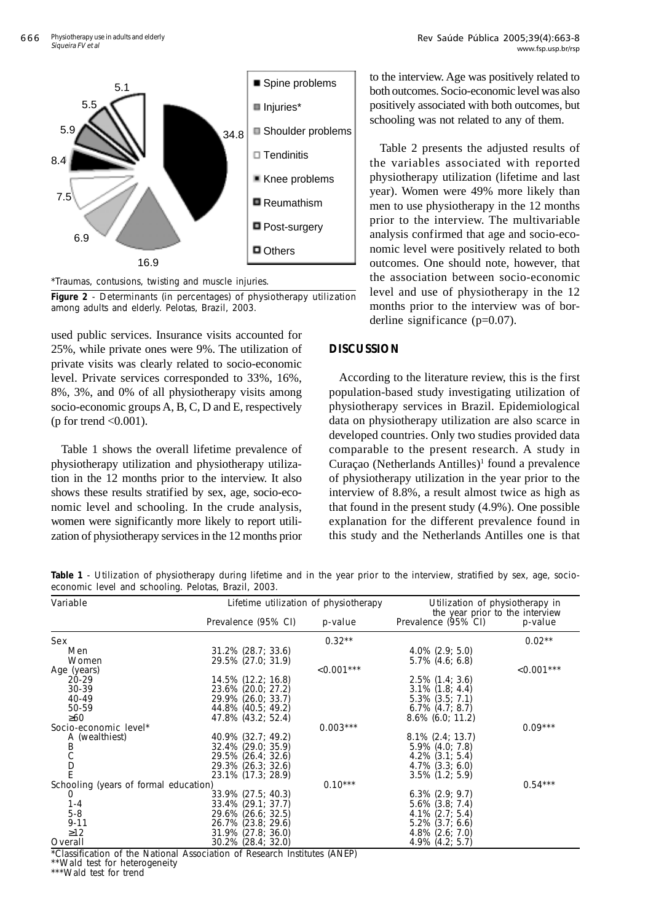

\*Traumas, contusions, twisting and muscle injuries.

**Figure 2** - Determinants (in percentages) of physiotherapy utilization among adults and elderly. Pelotas, Brazil, 2003.

used public services. Insurance visits accounted for 25%, while private ones were 9%. The utilization of private visits was clearly related to socio-economic level. Private services corresponded to 33%, 16%, 8%, 3%, and 0% of all physiotherapy visits among socio-economic groups A, B, C, D and E, respectively (p for trend  $\langle 0.001 \rangle$ .

Table 1 shows the overall lifetime prevalence of physiotherapy utilization and physiotherapy utilization in the 12 months prior to the interview. It also shows these results stratified by sex, age, socio-economic level and schooling. In the crude analysis, women were significantly more likely to report utilization of physiotherapy services in the 12 months prior

to the interview. Age was positively related to both outcomes. Socio-economic level was also positively associated with both outcomes, but schooling was not related to any of them.

Table 2 presents the adjusted results of the variables associated with reported physiotherapy utilization (lifetime and last year). Women were 49% more likely than men to use physiotherapy in the 12 months prior to the interview. The multivariable analysis confirmed that age and socio-economic level were positively related to both outcomes. One should note, however, that the association between socio-economic level and use of physiotherapy in the 12 months prior to the interview was of borderline significance (p=0.07).

# **DISCUSSION**

According to the literature review, this is the first population-based study investigating utilization of physiotherapy services in Brazil. Epidemiological data on physiotherapy utilization are also scarce in developed countries. Only two studies provided data comparable to the present research. A study in Curaçao (Netherlands Antilles)<sup>1</sup> found a prevalence of physiotherapy utilization in the year prior to the interview of 8.8%, a result almost twice as high as that found in the present study (4.9%). One possible explanation for the different prevalence found in this study and the Netherlands Antilles one is that

**Table 1** - Utilization of physiotherapy during lifetime and in the year prior to the interview, stratified by sex, age, socioeconomic level and schooling. Pelotas, Brazil, 2003.

| Variable                                                                              | Lifetime utilization of physiotherapy |              | Utilization of physiotherapy in<br>the year prior to the interview |              |  |
|---------------------------------------------------------------------------------------|---------------------------------------|--------------|--------------------------------------------------------------------|--------------|--|
|                                                                                       | Prevalence (95% CI)                   | p-value      | Prevalence (95% CI)                                                | p-value      |  |
| Sex                                                                                   |                                       | $0.32**$     |                                                                    | $0.02**$     |  |
| Men                                                                                   | $31.2\%$ (28.7; 33.6)                 |              | $4.0\%$ (2.9; 5.0)                                                 |              |  |
| Women                                                                                 | 29.5% (27.0; 31.9)                    |              | $5.7\%$ (4.6; 6.8)                                                 |              |  |
| Age (years)                                                                           |                                       | $< 0.001***$ |                                                                    | $< 0.001***$ |  |
| 20-29                                                                                 | 14.5% (12.2; 16.8)                    |              | $2.5\%$ (1.4; 3.6)                                                 |              |  |
| 30-39                                                                                 | 23.6% (20.0; 27.2)                    |              | $3.1\%$ (1.8; 4.4)                                                 |              |  |
| 40-49                                                                                 | 29.9% (26.0; 33.7)                    |              | $5.3\%$ $(3.5; 7.1)$                                               |              |  |
| 50-59                                                                                 | 44.8% (40.5; 49.2)                    |              | $6.7\%$ $(4.7; 8.7)$                                               |              |  |
| $\geq 60$                                                                             | 47.8% (43.2; 52.4)                    |              | $8.6\%$ (6.0; 11.2)                                                |              |  |
| Socio-economic level*                                                                 |                                       | $0.003***$   |                                                                    | $0.09***$    |  |
| A (wealthiest)                                                                        | 40.9% (32.7; 49.2)                    |              | $8.1\%$ (2.4; 13.7)                                                |              |  |
|                                                                                       | 32.4% (29.0; 35.9)                    |              | $5.9\%$ $(4.0; 7.8)$                                               |              |  |
| B<br>C<br>D<br>F                                                                      | 29.5% (26.4; 32.6)                    |              | $4.2\%$ $(3.1; 5.4)$                                               |              |  |
|                                                                                       | 29.3% (26.3; 32.6)                    |              | $4.7\%$ $(3.3; 6.0)$                                               |              |  |
|                                                                                       | 23.1% (17.3; 28.9)                    |              | $3.5\%$ (1.2; 5.9)                                                 |              |  |
| Schooling (years of formal education)                                                 |                                       | $0.10***$    |                                                                    | $0.54***$    |  |
| 0                                                                                     | 33.9% (27.5; 40.3)                    |              | $6.3\%$ (2.9; 9.7)                                                 |              |  |
| $1 - 4$                                                                               | 33.4% (29.1; 37.7)                    |              | $5.6\%$ (3.8; 7.4)                                                 |              |  |
| $5 - 8$                                                                               | 29.6% (26.6; 32.5)                    |              | $4.1\%$ (2.7; 5.4)                                                 |              |  |
| $9 - 11$                                                                              | 26.7% (23.8; 29.6)                    |              | $5.2\%$ $(3.7; 6.6)$                                               |              |  |
| $\geq$ 12                                                                             | $31.9\%$ (27.8; 36.0)                 |              | $4.8\%$ (2.6; 7.0)                                                 |              |  |
| Overall                                                                               | 30.2% (28.4; 32.0)                    |              | $4.9\%$ $(4.2; 5.7)$                                               |              |  |
| $*·\triangleClossification of the National Association of Desearch Institutes (ANED)$ |                                       |              |                                                                    |              |  |

lassification of the National Association of Research Institutes (ANEP)

\*\*Wald test for heterogeneity

\*\*\*Wald test for trend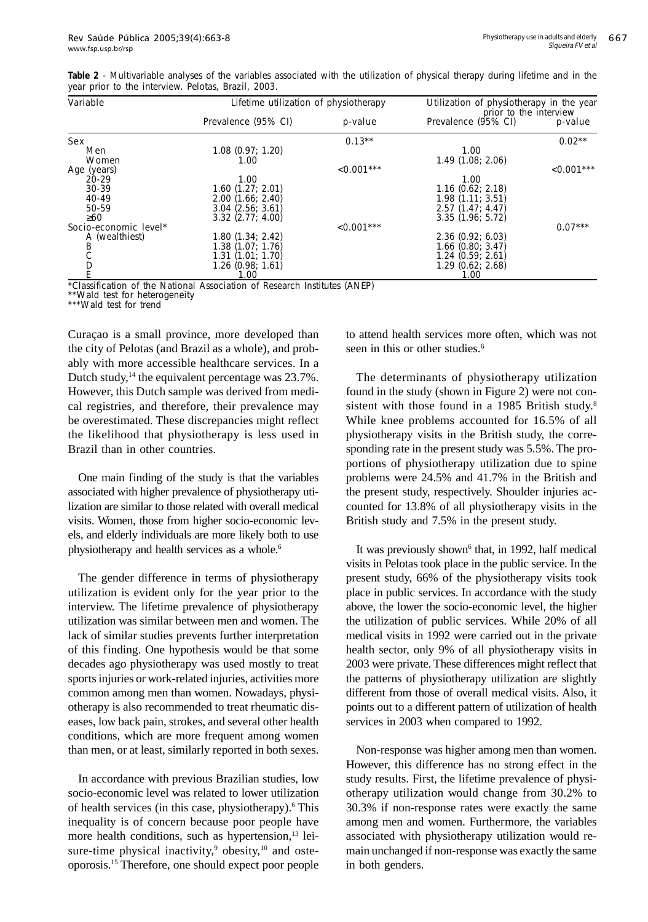| Variable              | Lifetime utilization of physiotherapy |              | Utilization of physiotherapy in the year<br>prior to the interview |              |
|-----------------------|---------------------------------------|--------------|--------------------------------------------------------------------|--------------|
|                       | Prevalence (95% CI)                   | p-value      | Prevalence (95% CI)                                                | p-value      |
| Sex                   |                                       | $0.13**$     |                                                                    | $0.02***$    |
| Men                   | $1.08$ (0.97; 1.20)                   |              | 1.00                                                               |              |
| Women                 | 1.00                                  |              | 1.49(1.08; 2.06)                                                   |              |
| Age (years)           |                                       | $< 0.001***$ |                                                                    | $< 0.001***$ |
| $20 - 29$             | 1.00                                  |              | 1.00                                                               |              |
| 30-39                 | 1.60(1.27; 2.01)                      |              | $1.16$ (0.62; 2.18)                                                |              |
| 40-49                 | 2.00(1.66; 2.40)                      |              | 1.98(1.11; 3.51)                                                   |              |
| 50-59                 | $3.04$ $(2.56; 3.61)$                 |              | 2.57(1.47; 4.47)                                                   |              |
| >60                   | $3.32$ (2.77; 4.00)                   |              | 3.35(1.96:5.72)                                                    |              |
| Socio-economic level* |                                       | $< 0.001***$ |                                                                    | $0.07***$    |
| A (wealthiest)        | 1.80(1.34; 2.42)                      |              | 2.36(0.92; 6.03)                                                   |              |
| Β                     | 1.38(1.07; 1.76)                      |              | $1.66$ (0.80; 3.47)                                                |              |
| C                     | 1.31(1.01; 1.70)                      |              | 1.24(0.59; 2.61)                                                   |              |
| D                     | $1.26$ (0.98; 1.61)                   |              | 1.29(0.62; 2.68)                                                   |              |
|                       | 1.00                                  |              | 1.00                                                               |              |

**Table 2** - Multivariable analyses of the variables associated with the utilization of physical therapy during lifetime and in the year prior to the interview. Pelotas, Brazil, 2003.

\*Classification of the National Association of Research Institutes (ANEP)

Wald test for heterogeneity

\*\*\*Wald test for trend

Curaçao is a small province, more developed than the city of Pelotas (and Brazil as a whole), and probably with more accessible healthcare services. In a Dutch study, $14$  the equivalent percentage was  $23.7\%$ . However, this Dutch sample was derived from medical registries, and therefore, their prevalence may be overestimated. These discrepancies might reflect the likelihood that physiotherapy is less used in Brazil than in other countries.

One main finding of the study is that the variables associated with higher prevalence of physiotherapy utilization are similar to those related with overall medical visits. Women, those from higher socio-economic levels, and elderly individuals are more likely both to use physiotherapy and health services as a whole.6

The gender difference in terms of physiotherapy utilization is evident only for the year prior to the interview. The lifetime prevalence of physiotherapy utilization was similar between men and women. The lack of similar studies prevents further interpretation of this finding. One hypothesis would be that some decades ago physiotherapy was used mostly to treat sports injuries or work-related injuries, activities more common among men than women. Nowadays, physiotherapy is also recommended to treat rheumatic diseases, low back pain, strokes, and several other health conditions, which are more frequent among women than men, or at least, similarly reported in both sexes.

In accordance with previous Brazilian studies, low socio-economic level was related to lower utilization of health services (in this case, physiotherapy).<sup>6</sup> This inequality is of concern because poor people have more health conditions, such as hypertension,<sup>13</sup> leisure-time physical inactivity, $9$  obesity, $10$  and osteoporosis.15 Therefore, one should expect poor people to attend health services more often, which was not seen in this or other studies.<sup>6</sup>

The determinants of physiotherapy utilization found in the study (shown in Figure 2) were not consistent with those found in a 1985 British study.<sup>8</sup> While knee problems accounted for 16.5% of all physiotherapy visits in the British study, the corresponding rate in the present study was 5.5%. The proportions of physiotherapy utilization due to spine problems were 24.5% and 41.7% in the British and the present study, respectively. Shoulder injuries accounted for 13.8% of all physiotherapy visits in the British study and 7.5% in the present study.

It was previously shown<sup>6</sup> that, in 1992, half medical visits in Pelotas took place in the public service. In the present study, 66% of the physiotherapy visits took place in public services. In accordance with the study above, the lower the socio-economic level, the higher the utilization of public services. While 20% of all medical visits in 1992 were carried out in the private health sector, only 9% of all physiotherapy visits in 2003 were private. These differences might reflect that the patterns of physiotherapy utilization are slightly different from those of overall medical visits. Also, it points out to a different pattern of utilization of health services in 2003 when compared to 1992.

Non-response was higher among men than women. However, this difference has no strong effect in the study results. First, the lifetime prevalence of physiotherapy utilization would change from 30.2% to 30.3% if non-response rates were exactly the same among men and women. Furthermore, the variables associated with physiotherapy utilization would remain unchanged if non-response was exactly the same in both genders.